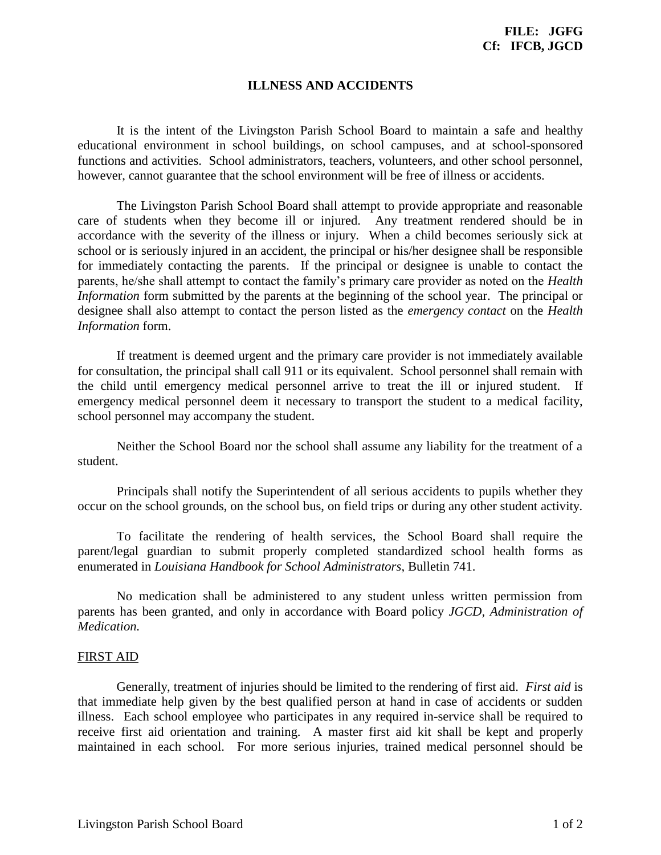## **ILLNESS AND ACCIDENTS**

It is the intent of the Livingston Parish School Board to maintain a safe and healthy educational environment in school buildings, on school campuses, and at school-sponsored functions and activities. School administrators, teachers, volunteers, and other school personnel, however, cannot guarantee that the school environment will be free of illness or accidents.

The Livingston Parish School Board shall attempt to provide appropriate and reasonable care of students when they become ill or injured. Any treatment rendered should be in accordance with the severity of the illness or injury. When a child becomes seriously sick at school or is seriously injured in an accident, the principal or his/her designee shall be responsible for immediately contacting the parents. If the principal or designee is unable to contact the parents, he/she shall attempt to contact the family's primary care provider as noted on the *Health Information* form submitted by the parents at the beginning of the school year. The principal or designee shall also attempt to contact the person listed as the *emergency contact* on the *Health Information* form.

If treatment is deemed urgent and the primary care provider is not immediately available for consultation, the principal shall call 911 or its equivalent. School personnel shall remain with the child until emergency medical personnel arrive to treat the ill or injured student. If emergency medical personnel deem it necessary to transport the student to a medical facility, school personnel may accompany the student.

Neither the School Board nor the school shall assume any liability for the treatment of a student.

Principals shall notify the Superintendent of all serious accidents to pupils whether they occur on the school grounds, on the school bus, on field trips or during any other student activity.

To facilitate the rendering of health services, the School Board shall require the parent/legal guardian to submit properly completed standardized school health forms as enumerated in *Louisiana Handbook for School Administrators*, Bulletin 741.

No medication shall be administered to any student unless written permission from parents has been granted, and only in accordance with Board policy *JGCD, Administration of Medication.*

## FIRST AID

Generally, treatment of injuries should be limited to the rendering of first aid. *First aid* is that immediate help given by the best qualified person at hand in case of accidents or sudden illness. Each school employee who participates in any required in-service shall be required to receive first aid orientation and training. A master first aid kit shall be kept and properly maintained in each school. For more serious injuries, trained medical personnel should be